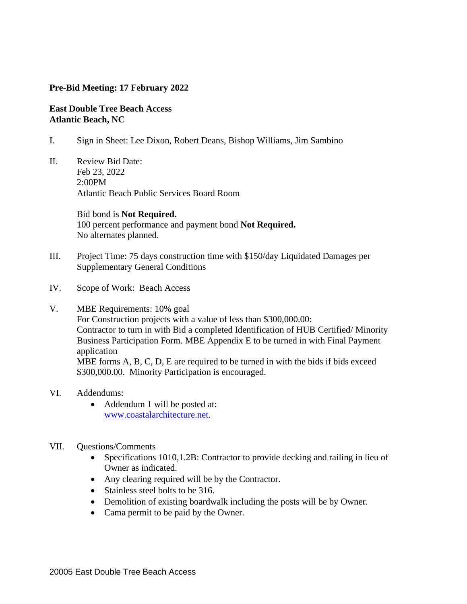## **Pre-Bid Meeting: 17 February 2022**

## **East Double Tree Beach Access Atlantic Beach, NC**

- I. Sign in Sheet: Lee Dixon, Robert Deans, Bishop Williams, Jim Sambino
- II. Review Bid Date: Feb 23, 2022 2:00PM Atlantic Beach Public Services Board Room

 Bid bond is **Not Required.** 100 percent performance and payment bond **Not Required.** No alternates planned.

- III. Project Time: 75 days construction time with \$150/day Liquidated Damages per Supplementary General Conditions
- IV. Scope of Work: Beach Access
- V. MBE Requirements: 10% goal

For Construction projects with a value of less than \$300,000.00: Contractor to turn in with Bid a completed Identification of HUB Certified/ Minority Business Participation Form. MBE Appendix E to be turned in with Final Payment application

MBE forms A, B, C, D, E are required to be turned in with the bids if bids exceed \$300,000.00. Minority Participation is encouraged.

## VI. Addendums:

• Addendum 1 will be posted at: [www.coastalarchitecture.net.](http://www.coastalarchitecture.net/)

## VII. Questions/Comments

- Specifications 1010,1.2B: Contractor to provide decking and railing in lieu of Owner as indicated.
- Any clearing required will be by the Contractor.
- Stainless steel bolts to be 316.
- Demolition of existing boardwalk including the posts will be by Owner.
- Cama permit to be paid by the Owner.